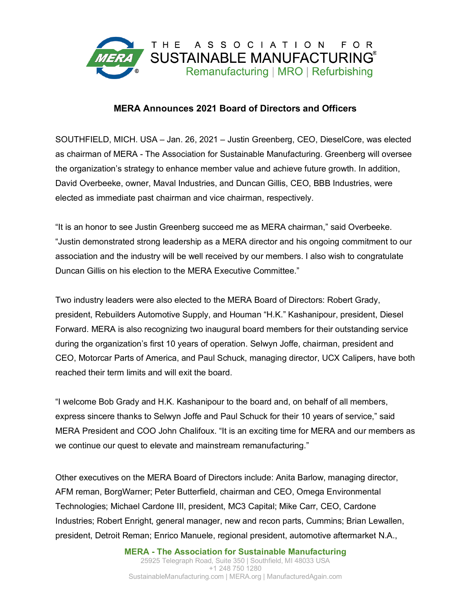

## **MERA Announces 2021 Board of Directors and Officers**

SOUTHFIELD, MICH. USA – Jan. 26, 2021 – Justin Greenberg, CEO, DieselCore, was elected as chairman of MERA - The Association for Sustainable Manufacturing. Greenberg will oversee the organization's strategy to enhance member value and achieve future growth. In addition, David Overbeeke, owner, Maval Industries, and Duncan Gillis, CEO, BBB Industries, were elected as immediate past chairman and vice chairman, respectively.

"It is an honor to see Justin Greenberg succeed me as MERA chairman," said Overbeeke. "Justin demonstrated strong leadership as a MERA director and his ongoing commitment to our association and the industry will be well received by our members. I also wish to congratulate Duncan Gillis on his election to the MERA Executive Committee."

Two industry leaders were also elected to the MERA Board of Directors: Robert Grady, president, Rebuilders Automotive Supply, and Houman "H.K." Kashanipour, president, Diesel Forward. MERA is also recognizing two inaugural board members for their outstanding service during the organization's first 10 years of operation. Selwyn Joffe, chairman, president and CEO, Motorcar Parts of America, and Paul Schuck, managing director, UCX Calipers, have both reached their term limits and will exit the board.

"I welcome Bob Grady and H.K. Kashanipour to the board and, on behalf of all members, express sincere thanks to Selwyn Joffe and Paul Schuck for their 10 years of service," said MERA President and COO John Chalifoux. "It is an exciting time for MERA and our members as we continue our quest to elevate and mainstream remanufacturing."

Other executives on the MERA Board of Directors include: Anita Barlow, managing director, AFM reman, BorgWarner; Peter Butterfield, chairman and CEO, Omega Environmental Technologies; Michael Cardone III, president, MC3 Capital; Mike Carr, CEO, Cardone Industries; Robert Enright, general manager, new and recon parts, Cummins; Brian Lewallen, president, Detroit Reman; Enrico Manuele, regional president, automotive aftermarket N.A.,